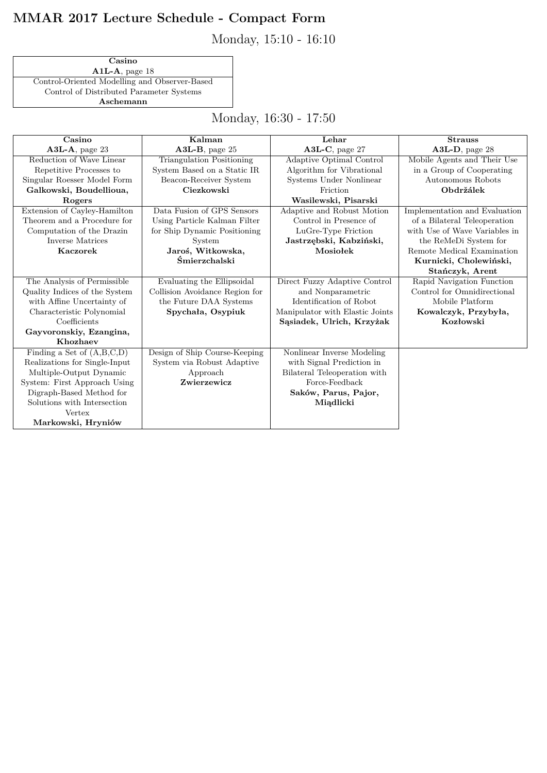## **MMAR 2017 Lecture Schedule - Compact Form**

Monday, 15:10 - 16:10

**Casino A1L-A**, page 18 Control-Oriented Modelling and Observer-Based Control of Distributed Parameter Systems **Aschemann**

Monday, 16:30 - 17:50

| Casino                        | Kalman                           | Lehar                           | <b>Strauss</b>                |
|-------------------------------|----------------------------------|---------------------------------|-------------------------------|
| $A3L-A$ , page 23             | $A3L-B$ , page 25                | A3L-C, page 27                  | A3L-D, page 28                |
| Reduction of Wave Linear      | <b>Triangulation Positioning</b> | Adaptive Optimal Control        | Mobile Agents and Their Use   |
| Repetitive Processes to       | System Based on a Static IR      | Algorithm for Vibrational       | in a Group of Cooperating     |
| Singular Roesser Model Form   | Beacon-Receiver System           | Systems Under Nonlinear         | Autonomous Robots             |
| Galkowski, Boudellioua,       | Ciezkowski                       | Friction                        | Obdržálek                     |
| Rogers                        |                                  | Wasilewski, Pisarski            |                               |
| Extension of Cayley-Hamilton  | Data Fusion of GPS Sensors       | Adaptive and Robust Motion      | Implementation and Evaluation |
| Theorem and a Procedure for   | Using Particle Kalman Filter     | Control in Presence of          | of a Bilateral Teleoperation  |
| Computation of the Drazin     | for Ship Dynamic Positioning     | LuGre-Type Friction             | with Use of Wave Variables in |
| Inverse Matrices              | System                           | Jastrzębski, Kabziński,         | the ReMeDi System for         |
| <b>Kaczorek</b>               | Jaroś, Witkowska,                | Mosiołek                        | Remote Medical Examination    |
|                               | Śmierzchalski                    |                                 | Kurnicki, Cholewiński,        |
|                               |                                  |                                 | Stańczyk, Arent               |
| The Analysis of Permissible   | Evaluating the Ellipsoidal       | Direct Fuzzy Adaptive Control   | Rapid Navigation Function     |
| Quality Indices of the System | Collision Avoidance Region for   | and Nonparametric               | Control for Omnidirectional   |
| with Affine Uncertainty of    | the Future DAA Systems           | Identification of Robot         | Mobile Platform               |
| Characteristic Polynomial     | Spychała, Osypiuk                | Manipulator with Elastic Joints | Kowalczyk, Przybyła,          |
| Coefficients                  |                                  | Sąsiadek, Ulrich, Krzyżak       | Kozłowski                     |
| Gayvoronskiy, Ezangina,       |                                  |                                 |                               |
| Khozhaev                      |                                  |                                 |                               |
| Finding a Set of $(A,B,C,D)$  | Design of Ship Course-Keeping    | Nonlinear Inverse Modeling      |                               |
| Realizations for Single-Input | System via Robust Adaptive       | with Signal Prediction in       |                               |
| Multiple-Output Dynamic       | Approach                         | Bilateral Teleoperation with    |                               |
| System: First Approach Using  | Zwierzewicz                      | Force-Feedback                  |                               |
| Digraph-Based Method for      |                                  | Saków, Parus, Pajor,            |                               |
| Solutions with Intersection   |                                  | Miądlicki                       |                               |
| Vertex                        |                                  |                                 |                               |
| Markowski, Hryniów            |                                  |                                 |                               |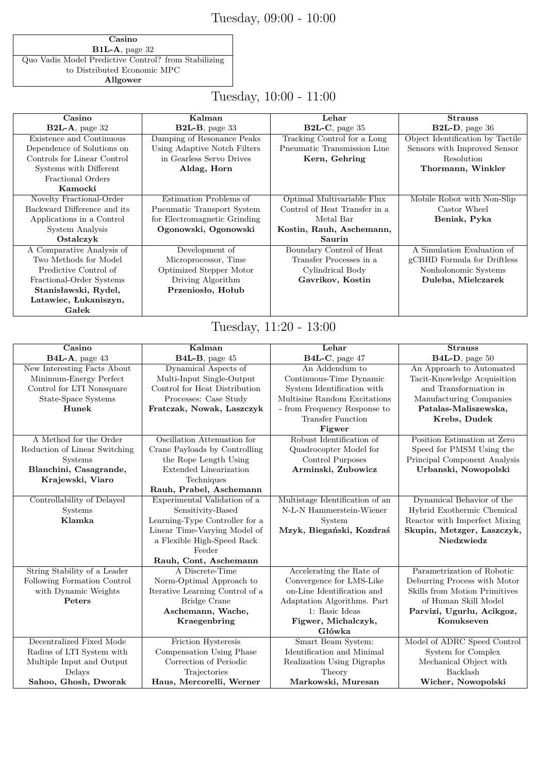### Tuesday, 09:00 - 10:00

**Casino B1L-A**, page 32 Quo Vadis Model Predictive Control? from Stabilizing to Distributed Economic MPC **Allgower**

Tuesday, 10:00 - 11:00

| Casino                      | Kalman                       | Lehar                         | <b>Strauss</b>                   |
|-----------------------------|------------------------------|-------------------------------|----------------------------------|
| $B2L-A$ , page 32           | $B2L-B$ , page 33            | $B2L-C$ , page 35             | $B2L-D$ , page 36                |
| Existence and Continuous    | Damping of Resonance Peaks   | Tracking Control for a Long   | Object Identification by Tactile |
| Dependence of Solutions on  | Using Adaptive Notch Filters | Pneumatic Transmission Line   | Sensors with Improved Sensor     |
| Controls for Linear Control | in Gearless Servo Drives     | Kern, Gehring                 | Resolution                       |
| Systems with Different      | Aldag, Horn                  |                               | Thormann, Winkler                |
| Fractional Orders           |                              |                               |                                  |
| Kamocki                     |                              |                               |                                  |
| Novelty Fractional-Order    | Estimation Problems of       | Optimal Multivariable Flux    | Mobile Robot with Non-Slip       |
| Backward Difference and its | Pneumatic Transport System   | Control of Heat Transfer in a | Castor Wheel                     |
| Applications in a Control   | for Electromagnetic Grinding | Metal Bar                     | Beniak, Pyka                     |
| System Analysis             | Ogonowski, Ogonowski         | Kostin, Rauh, Aschemann,      |                                  |
| Ostalczyk                   |                              | Saurin                        |                                  |
| A Comparative Analysis of   | Development of               | Boundary Control of Heat      | A Simulation Evaluation of       |
| Two Methods for Model       | Microprocessor, Time         | Transfer Processes in a       | gCBHD Formula for Driftless      |
| Predictive Control of       | Optimized Stepper Motor      | Cylindrical Body              | Nonholonomic Systems             |
| Fractional-Order Systems    | Driving Algorithm            | Gavrikov, Kostin              | Duleba, Mielczarek               |
| Stanisławski, Rydel,        | Przeniosło, Hołub            |                               |                                  |
| Latawiec, Łukaniszyn,       |                              |                               |                                  |
| Gałek                       |                              |                               |                                  |

### Tuesday, 11:20 - 13:00

| Casino                        | Kalman                          | Lehar                           | <b>Strauss</b>                |
|-------------------------------|---------------------------------|---------------------------------|-------------------------------|
| B4L-A, page 43                | B4L-B, page 45                  | B4L-C, page 47                  | B4L-D, page 50                |
| New Interesting Facts About   | Dynamical Aspects of            | An Addendum to                  | An Approach to Automated      |
| Minimum-Energy Perfect        | Multi-Input Single-Output       | Continuous-Time Dynamic         | Tacit-Knowledge Acquisition   |
| Control for LTI Nonsquare     | Control for Heat Distribution   | System Identification with      | and Transformation in         |
| State-Space Systems           | Processes: Case Study           | Multisine Random Excitations    | Manufacturing Companies       |
| Hunek                         | Fratczak, Nowak, Laszczyk       | - from Frequency Response to    | Patalas-Maliszewska,          |
|                               |                                 | <b>Transfer Function</b>        | Krebs, Dudek                  |
|                               |                                 | Figwer                          |                               |
| A Method for the Order        | Oscillation Attenuation for     | Robust Identification of        | Position Estimation at Zero   |
| Reduction of Linear Switching | Crane Payloads by Controlling   | Quadrocopter Model for          | Speed for PMSM Using the      |
| <b>Systems</b>                | the Rope Length Using           | Control Purposes                | Principal Component Analysis  |
| Blanchini, Casagrande,        | Extended Linearization          | Arminski, Zubowicz              | Urbanski, Nowopolski          |
| Krajewski, Viaro              | Techniques                      |                                 |                               |
|                               | Rauh, Prabel, Aschemann         |                                 |                               |
| Controllability of Delayed    | Experimental Validation of a    | Multistage Identification of an | Dynamical Behavior of the     |
| <b>Systems</b>                | Sensitivity-Based               | N-L-N Hammerstein-Wiener        | Hybrid Exothermic Chemical    |
| Klamka                        | Learning-Type Controller for a  | System                          | Reactor with Imperfect Mixing |
|                               | Linear Time-Varying Model of    | Mzyk, Biegański, Kozdraś        | Skupin, Metzger, Laszczyk,    |
|                               | a Flexible High-Speed Rack      |                                 | Niedzwiedz                    |
|                               | Feeder                          |                                 |                               |
|                               | Rauh, Cont, Aschemann           |                                 |                               |
| String Stability of a Leader  | A Discrete-Time                 | Accelerating the Rate of        | Parametrization of Robotic    |
| Following Formation Control   | Norm-Optimal Approach to        | Convergence for LMS-Like        | Deburring Process with Motor  |
| with Dynamic Weights          | Iterative Learning Control of a | on-Line Identification and      | Skills from Motion Primitives |
| Peters                        | Bridge Crane                    | Adaptation Algorithms. Part     | of Human Skill Model          |
|                               | Aschemann, Wache,               | 1: Basic Ideas                  | Parvizi, Ugurlu, Acikgoz,     |
|                               | Kraegenbring                    | Figwer, Michalczyk,             | Konukseven                    |
|                               |                                 | Główka                          |                               |
| Decentralized Fixed Mode      | Friction Hysteresis             | Smart Beam System:              | Model of ADRC Speed Control   |
| Radius of LTI System with     | Compensation Using Phase        | Identification and Minimal      | System for Complex            |
| Multiple Input and Output     | Correction of Periodic          | Realization Using Digraphs      | Mechanical Object with        |
| Delays                        | Trajectories                    | Theory                          | Backlash                      |
| Sahoo, Ghosh, Dworak          | Haus, Mercorelli, Werner        | Markowski, Muresan              | Wicher, Nowopolski            |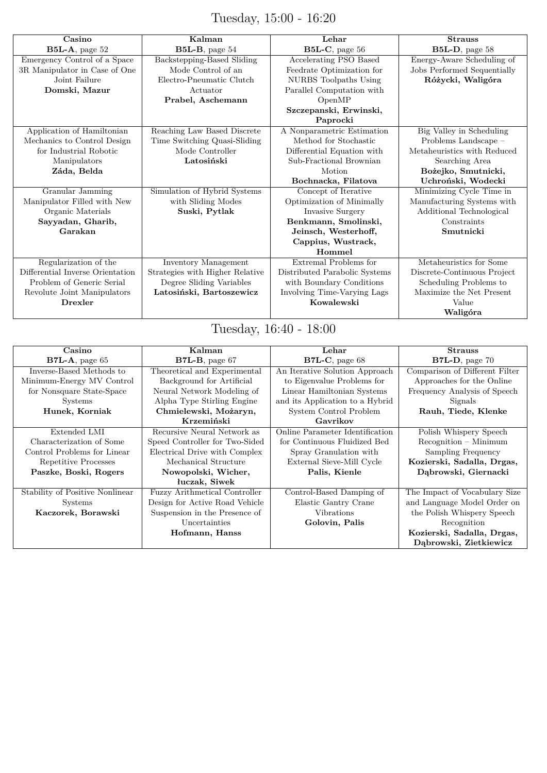# Tuesday, 15:00 - 16:20

| Casino                           | Kalman                          | Lehar                         | <b>Strauss</b>              |
|----------------------------------|---------------------------------|-------------------------------|-----------------------------|
| $B5L-A$ , page 52                | $B5L-B$ , page 54               | $B5L-C$ , page 56             | $B5L-D$ , page 58           |
| Emergency Control of a Space     | Backstepping-Based Sliding      | Accelerating PSO Based        | Energy-Aware Scheduling of  |
| 3R Manipulator in Case of One    | Mode Control of an              | Feedrate Optimization for     | Jobs Performed Sequentially |
| Joint Failure                    | Electro-Pneumatic Clutch        | <b>NURBS</b> Toolpaths Using  | Różycki, Waligóra           |
| Domski, Mazur                    | Actuator                        | Parallel Computation with     |                             |
|                                  | Prabel, Aschemann               | OpenMP                        |                             |
|                                  |                                 | Szczepanski, Erwinski,        |                             |
|                                  |                                 | Paprocki                      |                             |
| Application of Hamiltonian       | Reaching Law Based Discrete     | A Nonparametric Estimation    | Big Valley in Scheduling    |
| Mechanics to Control Design      | Time Switching Quasi-Sliding    | Method for Stochastic         | Problems Landscape -        |
| for Industrial Robotic           | Mode Controller                 | Differential Equation with    | Metaheuristics with Reduced |
| Manipulators                     | Latosiński                      | Sub-Fractional Brownian       | Searching Area              |
| Záda, Belda                      |                                 | Motion                        | Bożejko, Smutnicki,         |
|                                  |                                 | Bochnacka, Filatova           | Uchroński, Wodecki          |
| Granular Jamming                 | Simulation of Hybrid Systems    | Concept of Iterative          | Minimizing Cycle Time in    |
| Manipulator Filled with New      | with Sliding Modes              | Optimization of Minimally     | Manufacturing Systems with  |
| Organic Materials                | Suski, Pytlak                   | Invasive Surgery              | Additional Technological    |
| Sayyadan, Gharib,                |                                 | Benkmann, Smolinski,          | Constraints                 |
| Garakan                          |                                 | Jeinsch, Westerhoff,          | Smutnicki                   |
|                                  |                                 | Cappius, Wustrack,            |                             |
|                                  |                                 | Hommel                        |                             |
| Regularization of the            | <b>Inventory Management</b>     | Extremal Problems for         | Metaheuristics for Some     |
| Differential Inverse Orientation | Strategies with Higher Relative | Distributed Parabolic Systems | Discrete-Continuous Project |
| Problem of Generic Serial        | Degree Sliding Variables        | with Boundary Conditions      | Scheduling Problems to      |
| Revolute Joint Manipulators      | Latosiński, Bartoszewicz        | Involving Time-Varying Lags   | Maximize the Net Present    |
| <b>Drexler</b>                   |                                 | Kowalewski                    | Value                       |
|                                  |                                 |                               | Waligóra                    |

## Tuesday, 16:40 - 18:00

| Casino                          | Kalman                               | Lehar                           | <b>Strauss</b>                 |
|---------------------------------|--------------------------------------|---------------------------------|--------------------------------|
| $B7L-A$ , page 65               | $B7L-B$ , page 67                    | $B7L-C$ , page 68               | $B7L-D$ , page 70              |
| Inverse-Based Methods to        | Theoretical and Experimental         | An Iterative Solution Approach  | Comparison of Different Filter |
| Minimum-Energy MV Control       | Background for Artificial            | to Eigenvalue Problems for      | Approaches for the Online      |
| for Nonsquare State-Space       | Neural Network Modeling of           | Linear Hamiltonian Systems      | Frequency Analysis of Speech   |
| <b>Systems</b>                  | Alpha Type Stirling Engine           | and its Application to a Hybrid | Signals                        |
| Hunek, Korniak                  | Chmielewski, Możaryn,                | System Control Problem          | Rauh, Tiede, Klenke            |
|                                 | Krzemiński                           | Gavrikov                        |                                |
| Extended LMI                    | Recursive Neural Network as          | Online Parameter Identification | Polish Whispery Speech         |
| Characterization of Some        | Speed Controller for Two-Sided       | for Continuous Fluidized Bed    | $Recognition - Minimum$        |
| Control Problems for Linear     | Electrical Drive with Complex        | Spray Granulation with          | Sampling Frequency             |
| Repetitive Processes            | Mechanical Structure                 | External Sieve-Mill Cycle       | Kozierski, Sadalla, Drgas,     |
| Paszke, Boski, Rogers           | Nowopolski, Wicher,                  | Palis, Kienle                   | Dabrowski, Giernacki           |
|                                 | luczak, Siwek                        |                                 |                                |
| Stability of Positive Nonlinear | <b>Fuzzy Arithmetical Controller</b> | Control-Based Damping of        | The Impact of Vocabulary Size  |
| <b>Systems</b>                  | Design for Active Road Vehicle       | Elastic Gantry Crane            | and Language Model Order on    |
| Kaczorek, Borawski              | Suspension in the Presence of        | <b>Vibrations</b>               | the Polish Whispery Speech     |
|                                 | Uncertainties                        | Golovin, Palis                  | Recognition                    |
|                                 | Hofmann, Hanss                       |                                 | Kozierski, Sadalla, Drgas,     |
|                                 |                                      |                                 | Dąbrowski, Zietkiewicz         |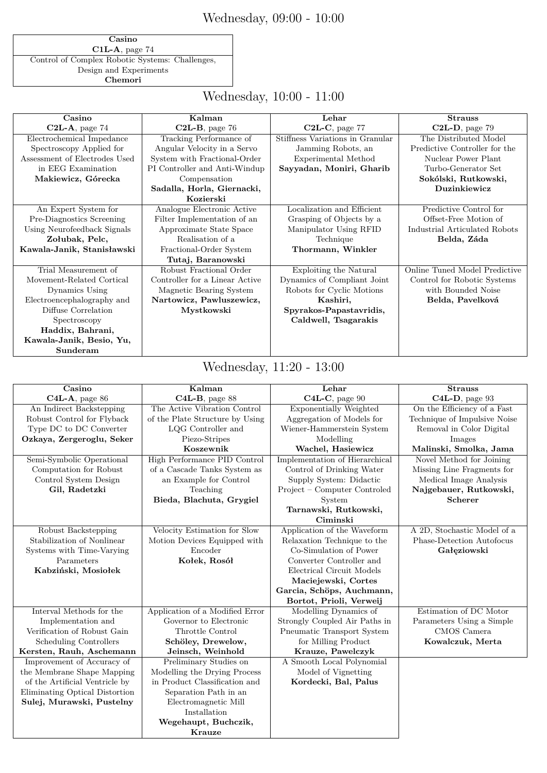## Wednesday, 09:00 - 10:00

**Casino C1L-A**, page 74 Control of Complex Robotic Systems: Challenges, Design and Experiments **Chemori**

## Wednesday, 10:00 - 11:00

| Casino                        | Kalman                         | Lehar                            | <b>Strauss</b>                |
|-------------------------------|--------------------------------|----------------------------------|-------------------------------|
| $C2L-A$ , page 74             | $C2L-B$ , page 76              | $C2L-C$ , page 77                | $C2L-D$ , page 79             |
| Electrochemical Impedance     | Tracking Performance of        | Stiffness Variations in Granular | The Distributed Model         |
| Spectroscopy Applied for      | Angular Velocity in a Servo    | Jamming Robots, an               | Predictive Controller for the |
| Assessment of Electrodes Used | System with Fractional-Order   | Experimental Method              | Nuclear Power Plant           |
| in EEG Examination            | PI Controller and Anti-Windup  | Sayyadan, Moniri, Gharib         | Turbo-Generator Set           |
| Makiewicz, Górecka            | Compensation                   |                                  | Sokólski, Rutkowski,          |
|                               | Sadalla, Horla, Giernacki,     |                                  | Duzinkiewicz                  |
|                               | Kozierski                      |                                  |                               |
| An Expert System for          | Analogue Electronic Active     | Localization and Efficient       | Predictive Control for        |
| Pre-Diagnostics Screening     | Filter Implementation of an    | Grasping of Objects by a         | Offset-Free Motion of         |
| Using Neurofeedback Signals   | Approximate State Space        | Manipulator Using RFID           | Industrial Articulated Robots |
| Zołubak, Pelc,                | Realisation of a               | Technique                        | Belda, Záda                   |
| Kawala-Janik, Stanisławski    | Fractional-Order System        | Thormann, Winkler                |                               |
|                               | Tutaj, Baranowski              |                                  |                               |
| Trial Measurement of          | Robust Fractional Order        | Exploiting the Natural           | Online Tuned Model Predictive |
| Movement-Related Cortical     | Controller for a Linear Active | Dynamics of Compliant Joint      | Control for Robotic Systems   |
| Dynamics Using                | Magnetic Bearing System        | Robots for Cyclic Motions        | with Bounded Noise            |
| Electroencephalography and    | Nartowicz, Pawluszewicz,       | Kashiri,                         | Belda, Pavelková              |
| Diffuse Correlation           | Mystkowski                     | Spyrakos-Papastavridis,          |                               |
| Spectroscopy                  |                                | Caldwell, Tsagarakis             |                               |
| Haddix, Bahrani,              |                                |                                  |                               |
| Kawala-Janik, Besio, Yu,      |                                |                                  |                               |
| Sunderam                      |                                |                                  |                               |

## Wednesday, 11:20 - 13:00

| Casino                         | Kalman                          | Lehar                                 | <b>Strauss</b>               |
|--------------------------------|---------------------------------|---------------------------------------|------------------------------|
| $C4L-A$ , page 86              | C4L-B, page 88                  | C4L-C, page 90                        | C4L-D, page 93               |
| An Indirect Backstepping       | The Active Vibration Control    | <b>Exponentially Weighted</b>         | On the Efficiency of a Fast  |
| Robust Control for Flyback     | of the Plate Structure by Using | Aggregation of Models for             | Technique of Impulsive Noise |
| Type DC to DC Converter        | LQG Controller and              | Wiener-Hammerstein System             | Removal in Color Digital     |
| Ozkaya, Zergeroglu, Seker      | Piezo-Stripes                   | Modelling                             | Images                       |
|                                | Koszewnik                       | Wachel, Hasiewicz                     | Malinski, Smolka, Jama       |
| Semi-Symbolic Operational      | High Performance PID Control    | <b>Implementation of Hierarchical</b> | Novel Method for Joining     |
| Computation for Robust         | of a Cascade Tanks System as    | Control of Drinking Water             | Missing Line Fragments for   |
| Control System Design          | an Example for Control          | Supply System: Didactic               | Medical Image Analysis       |
| Gil, Radetzki                  | Teaching                        | Project – Computer Controled          | Najgebauer, Rutkowski,       |
|                                | Bieda, Blachuta, Grygiel        | System                                | <b>Scherer</b>               |
|                                |                                 | Tarnawski, Rutkowski,                 |                              |
|                                |                                 | Ciminski                              |                              |
| Robust Backstepping            | Velocity Estimation for Slow    | Application of the Waveform           | A 2D, Stochastic Model of a  |
| Stabilization of Nonlinear     | Motion Devices Equipped with    | Relaxation Technique to the           | Phase-Detection Autofocus    |
| Systems with Time-Varying      | Encoder                         | Co-Simulation of Power                | Gałęziowski                  |
| Parameters                     | Kołek, Rosół                    | Converter Controller and              |                              |
| Kabziński, Mosiołek            |                                 | Electrical Circuit Models             |                              |
|                                |                                 | Maciejewski, Cortes                   |                              |
|                                |                                 | Garcia, Schöps, Auchmann,             |                              |
|                                |                                 | Bortot, Prioli, Verweij               |                              |
| Interval Methods for the       | Application of a Modified Error | Modelling Dynamics of                 | Estimation of DC Motor       |
| Implementation and             | Governor to Electronic          | Strongly Coupled Air Paths in         | Parameters Using a Simple    |
| Verification of Robust Gain    | Throttle Control                | Pneumatic Transport System            | CMOS Camera                  |
| Scheduling Controllers         | Schöley, Drewelow,              | for Milling Product                   | Kowalczuk, Merta             |
| Kersten, Rauh, Aschemann       | Jeinsch, Weinhold               | Krauze, Pawelczyk                     |                              |
| Improvement of Accuracy of     | Preliminary Studies on          | A Smooth Local Polynomial             |                              |
| the Membrane Shape Mapping     | Modelling the Drying Process    | Model of Vignetting                   |                              |
| of the Artificial Ventricle by | in Product Classification and   | Kordecki, Bal, Palus                  |                              |
| Eliminating Optical Distortion | Separation Path in an           |                                       |                              |
| Sulej, Murawski, Pustelny      | Electromagnetic Mill            |                                       |                              |
|                                | Installation                    |                                       |                              |
|                                | Wegehaupt, Buchczik,            |                                       |                              |
|                                | Krauze                          |                                       |                              |